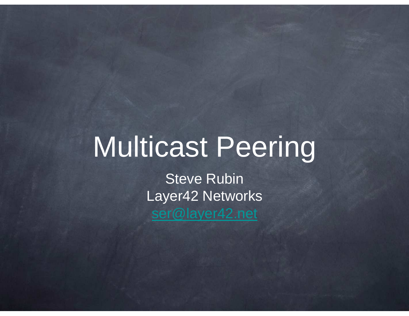## Multicast Peering

Steve Rubin Layer42 Networksser@layer42.net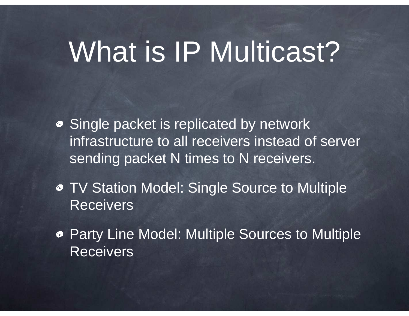## What is IP Multicast?

- **Single packet is replicated by network** infrastructure to all receivers instead of server sending packet N times to N receivers.
- TV Station Model: Single Source to Multiple **Receivers**
- Party Line Model: Multiple Sources to Multiple **Receivers**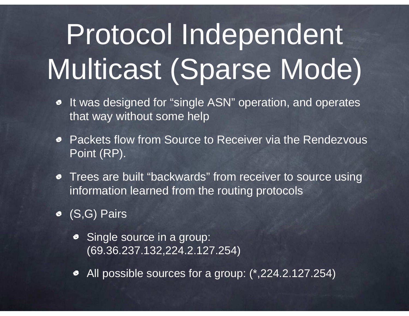# Protocol Independent Multicast (Sparse Mode)

- It was designed for "single ASN" operation, and operates  $\bullet$ that way without some help
- Packets flow from Source to Receiver via the Rendezvous Point (RP).
- Trees are built "backwards" from receiver to source using  $\bullet$ information learned from the routing protocols
- (S,G) Pairs
	- Single source in a group: (69.36.237.132,224.2.127.254)
	- All possible sources for a group: (\*,224.2.127.254)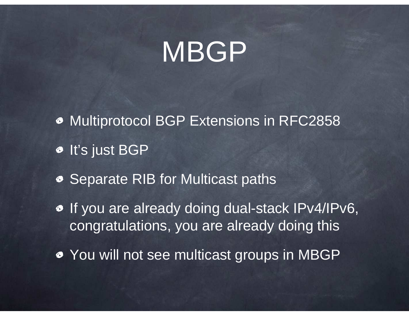## MBGP

- Multiprotocol BGP Extensions in RFC2858 $\bullet$  It's just BGP
- **Separate RIB for Multicast paths**
- o If you are already doing dual-stack IPv4/IPv6, congratulations, you are already doing this
- You will not see multicast groups in MBGP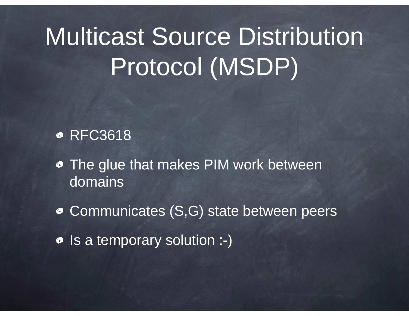## Multicast Source Distribution Protocol (MSDP)

#### **• RFC3618**

- The glue that makes PIM work between domains
- Communicates (S,G) state between peers
- Is a temporary solution :-)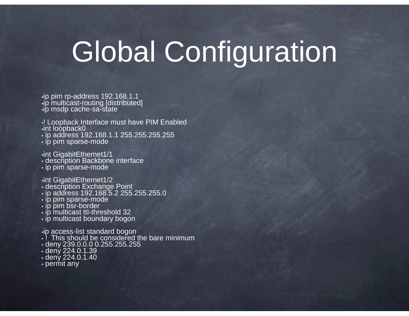## Global Configuration

•ip pim rp-address 192.168.1.1 •ip multicast-routing [distributed] •ip msdp cache-sa-state

- •! Loopback Interface must have PIM Enabled•int loopback0
- ip address 192.168.1.1 255.255.255.255
- ip pim sparse-mode

•int GigabitEthernet1/1• description Backbone interface • ip pim sparse-mode

- 
- •int GigabitEthernet1/2 description Exchange Point ip address 192.168.5.2 255.255.255.0
- ip pim sparse-mode
- ip pim bsr-border
- 
- ip multicast ttl-threshold 32 ip multicast boundary bogon

- •ip access-list standard bogon ! This should be considered the bare minimum
- deny 239.0.0.0 0.255.255.255 deny 224.0.1.39
- 
- deny 224.0.1.40 permit any
-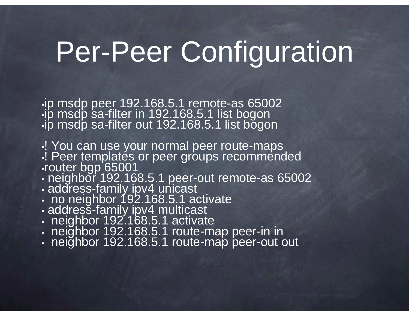## Per-Peer Configuration

•ip msdp peer 192.168.5.1 remote-as 65002•ip msdp sa-filter in 192.168.5.1 list bogon•ip msdp sa-filter out 192.168.5.1 list bogon

•! You can use your normal peer route-maps<br>I Peer templates or peer groups recomment •! Peer templates or peer groups recommended •router bgp 65001

- •neighbor 192.168.5.1 peer-out remote-as 65002
- $\bullet$  and esseration toval distribution of  $\bullet$ • address-family ipv4 unicast<br>• no neighbor 192 168 5 1 a
- no neighbor 192.168.5.1 activate
- AUUIESS-IAHIIN 10V4 HUIIII.ASI • addresš-family ipv4 multicast<br>• neighbor 192 168 5 1 activat
- neighbor 192.168.5.1 activate
- ПЕЮШОГ 192 ЮС Э ТОШЕЕ neighbor 192.168.5.1 route-map peer-in in
- TERRITORI TYZ TOA :) T KINTE-HIZIO DEEL-OUI neighbor 192.168.5.1 route-map peer-out out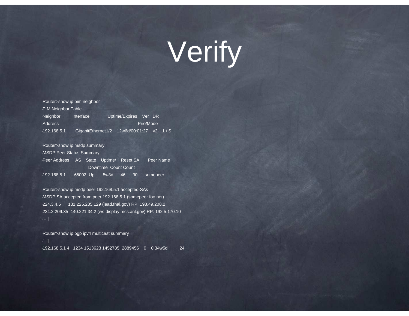## Verify

•Router>show ip pim neighbor•PIM Neighbor Table•Neighbor Interface Uptime/Expires Ver DR•Address Prio/Mode •192.168.5.1 GigabitEthernet1/2 12w6d/00:01:27 v2 1 / S

•Router>show ip msdp summary •MSDP Peer Status Summary•Peer Address AS State Uptime/ Reset SA Peer Name Downtime Count Count•192.168.5.1 65002 Up 5w3d 46 30 somepeer

•Router>show ip msdp peer 192.168.5.1 accepted-SAs •MSDP SA accepted from peer 192.168.5.1 (somepeer.foo.net)•224.3.4.5 131.225.235.129 (lead.fnal.gov) RP: 198.49.208.2 •224.2.209.35 140.221.34.2 (ws-display.mcs.anl.gov) RP: 192.5.170.10•[...]

•Router>show ip bgp ipv4 multicast summary•[...]•192.168.5.1 4 1234 1513623 1452785 2889456 0 0 34w5d 24